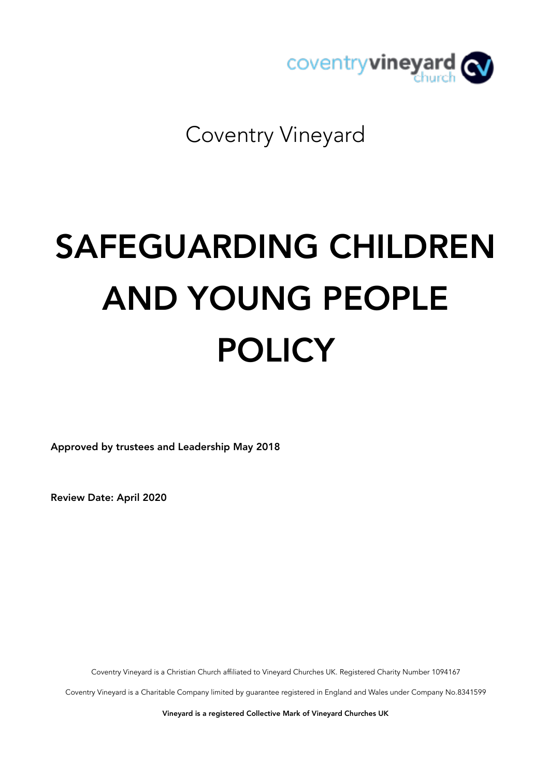

Coventry Vineyard

# SAFEGUARDING CHILDREN AND YOUNG PEOPLE POLICY

Approved by trustees and Leadership May 2018

Review Date: April 2020

Coventry Vineyard is a Christian Church affiliated to Vineyard Churches UK. Registered Charity Number 1094167

Coventry Vineyard is a Charitable Company limited by guarantee registered in England and Wales under Company No.8341599

Vineyard is a registered Collective Mark of Vineyard Churches UK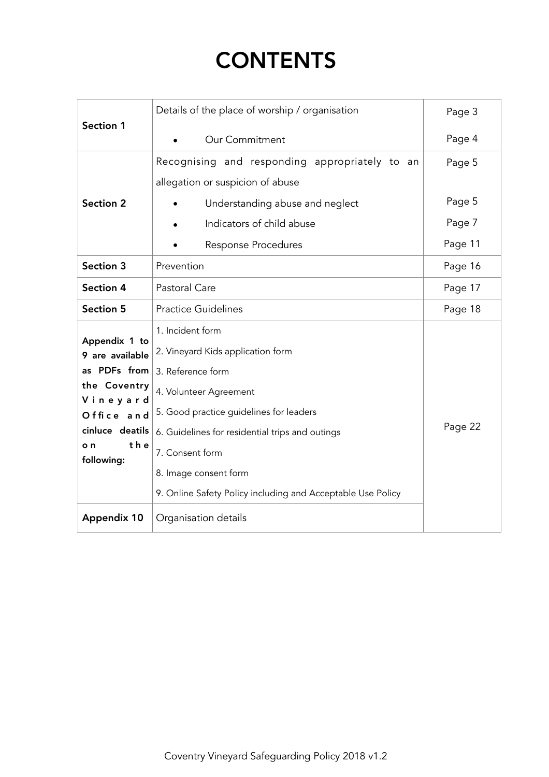# **CONTENTS**

| Section 1                                                                                                                                                       | Details of the place of worship / organisation                                                                                                                                                                                                                                                                                        | Page 3  |
|-----------------------------------------------------------------------------------------------------------------------------------------------------------------|---------------------------------------------------------------------------------------------------------------------------------------------------------------------------------------------------------------------------------------------------------------------------------------------------------------------------------------|---------|
|                                                                                                                                                                 | Our Commitment                                                                                                                                                                                                                                                                                                                        | Page 4  |
| <b>Section 2</b>                                                                                                                                                | Recognising and responding appropriately to an<br>allegation or suspicion of abuse                                                                                                                                                                                                                                                    | Page 5  |
|                                                                                                                                                                 | Understanding abuse and neglect                                                                                                                                                                                                                                                                                                       | Page 5  |
|                                                                                                                                                                 | Indicators of child abuse                                                                                                                                                                                                                                                                                                             | Page 7  |
|                                                                                                                                                                 | <b>Response Procedures</b>                                                                                                                                                                                                                                                                                                            | Page 11 |
| Section 3                                                                                                                                                       | Prevention                                                                                                                                                                                                                                                                                                                            | Page 16 |
| Section 4                                                                                                                                                       | Pastoral Care                                                                                                                                                                                                                                                                                                                         | Page 17 |
| <b>Section 5</b>                                                                                                                                                | <b>Practice Guidelines</b>                                                                                                                                                                                                                                                                                                            | Page 18 |
| Appendix 1 to<br>9 are available<br>as PDFs from<br>the Coventry<br>Vineyard<br>Office and<br>cinluce deatils<br>the<br>o n<br>following:<br><b>Appendix 10</b> | 1. Incident form<br>2. Vineyard Kids application form<br>3. Reference form<br>4. Volunteer Agreement<br>5. Good practice guidelines for leaders<br>6. Guidelines for residential trips and outings<br>7. Consent form<br>8. Image consent form<br>9. Online Safety Policy including and Acceptable Use Policy<br>Organisation details | Page 22 |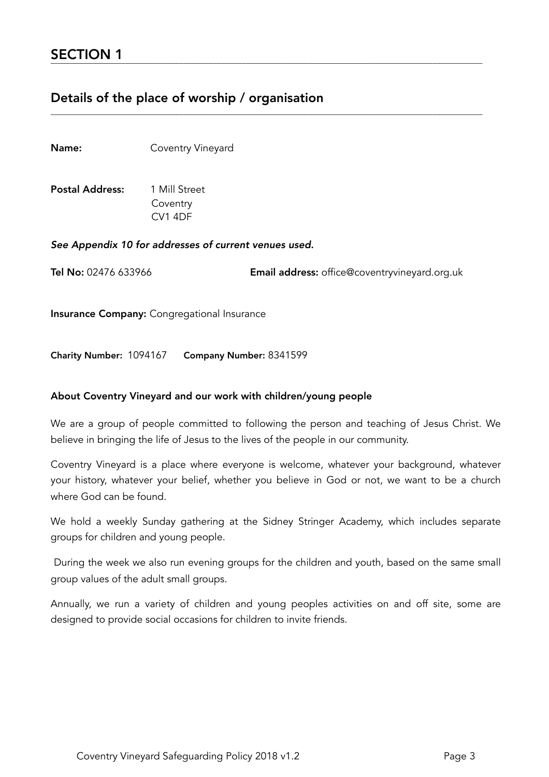# Details of the place of worship / organisation

Name: Coventry Vineyard

Postal Address: 1 Mill Street Coventry CV1 4DF

*See Appendix 10 for addresses of current venues used.*

Tel No: 02476 633966 Email address: office@coventryvineyard.org.uk

Insurance Company: Congregational Insurance

Charity Number: 1094167 Company Number: 8341599

#### About Coventry Vineyard and our work with children/young people

We are a group of people committed to following the person and teaching of Jesus Christ. We believe in bringing the life of Jesus to the lives of the people in our community.

\_\_\_\_\_\_\_\_\_\_\_\_\_\_\_\_\_\_\_\_\_\_\_\_\_\_\_\_\_\_\_\_\_\_\_\_\_\_\_\_\_\_\_\_\_\_\_\_\_\_\_\_\_\_\_\_\_\_\_\_\_\_\_\_\_\_\_\_\_\_\_\_\_\_\_\_\_\_\_\_\_\_\_\_\_\_\_\_\_\_\_\_\_\_\_\_\_\_\_\_\_\_\_\_

Coventry Vineyard is a place where everyone is welcome, whatever your background, whatever your history, whatever your belief, whether you believe in God or not, we want to be a church where God can be found.

We hold a weekly Sunday gathering at the Sidney Stringer Academy, which includes separate groups for children and young people.

 During the week we also run evening groups for the children and youth, based on the same small group values of the adult small groups.

Annually, we run a variety of children and young peoples activities on and off site, some are designed to provide social occasions for children to invite friends.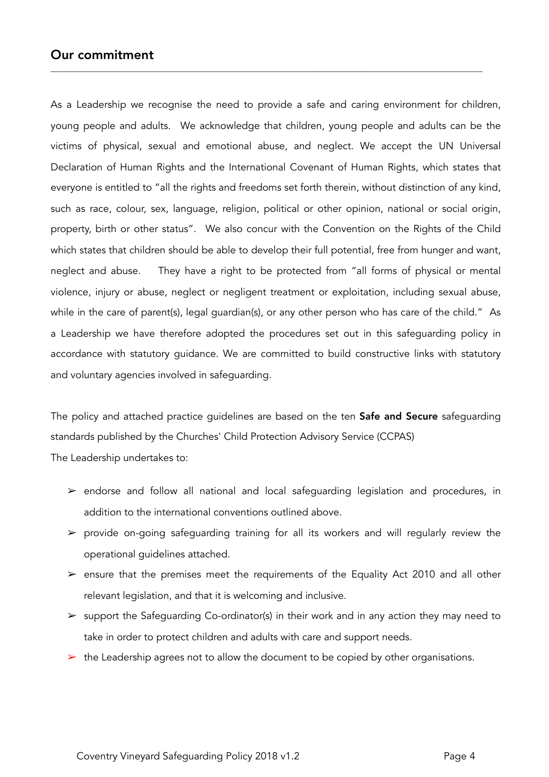### Our commitment

As a Leadership we recognise the need to provide a safe and caring environment for children, young people and adults. We acknowledge that children, young people and adults can be the victims of physical, sexual and emotional abuse, and neglect. We accept the UN Universal Declaration of Human Rights and the International Covenant of Human Rights, which states that everyone is entitled to "all the rights and freedoms set forth therein, without distinction of any kind, such as race, colour, sex, language, religion, political or other opinion, national or social origin, property, birth or other status". We also concur with the Convention on the Rights of the Child which states that children should be able to develop their full potential, free from hunger and want, neglect and abuse. They have a right to be protected from "all forms of physical or mental violence, injury or abuse, neglect or negligent treatment or exploitation, including sexual abuse, while in the care of parent(s), legal guardian(s), or any other person who has care of the child." As a Leadership we have therefore adopted the procedures set out in this safeguarding policy in accordance with statutory guidance. We are committed to build constructive links with statutory and voluntary agencies involved in safeguarding.

\_\_\_\_\_\_\_\_\_\_\_\_\_\_\_\_\_\_\_\_\_\_\_\_\_\_\_\_\_\_\_\_\_\_\_\_\_\_\_\_\_\_\_\_\_\_\_\_\_\_\_\_\_\_\_\_\_\_\_\_\_\_\_\_\_\_\_\_\_\_\_\_\_\_\_\_\_\_\_\_\_\_\_\_\_\_\_\_\_\_\_\_\_\_\_\_\_\_\_\_\_\_\_\_

The policy and attached practice quidelines are based on the ten Safe and Secure safequarding standards published by the Churches' Child Protection Advisory Service (CCPAS)

The Leadership undertakes to:

- ➢ endorse and follow all national and local safeguarding legislation and procedures, in addition to the international conventions outlined above.
- $\triangleright$  provide on-going safeguarding training for all its workers and will regularly review the operational guidelines attached.
- $\ge$  ensure that the premises meet the requirements of the Equality Act 2010 and all other relevant legislation, and that it is welcoming and inclusive.
- ➢ support the Safeguarding Co-ordinator(s) in their work and in any action they may need to take in order to protect children and adults with care and support needs.
- $\triangleright$  the Leadership agrees not to allow the document to be copied by other organisations.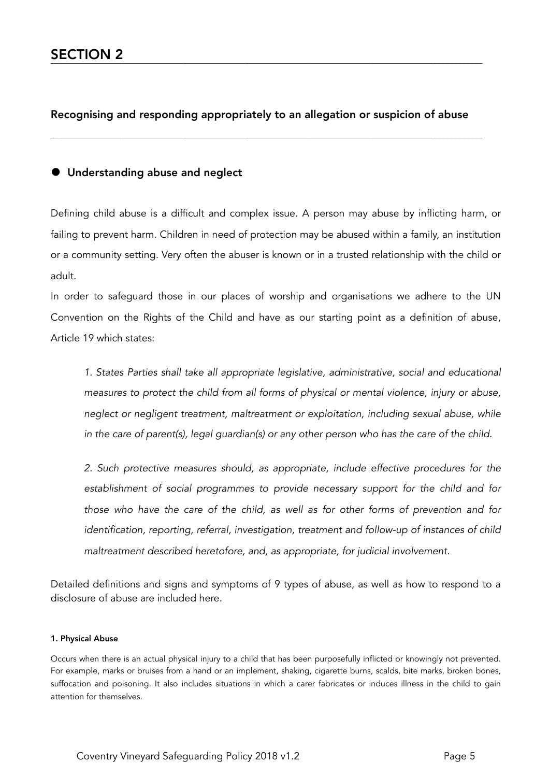#### Recognising and responding appropriately to an allegation or suspicion of abuse

\_\_\_\_\_\_\_\_\_\_\_\_\_\_\_\_\_\_\_\_\_\_\_\_\_\_\_\_\_\_\_\_\_\_\_\_\_\_\_\_\_\_\_\_\_\_\_\_\_\_\_\_\_\_\_\_\_\_\_\_\_\_\_\_\_\_\_\_\_\_\_\_\_\_\_\_\_\_\_\_\_\_\_\_\_\_\_\_\_\_\_\_\_\_\_\_\_\_\_\_\_\_\_\_

#### • Understanding abuse and neglect

Defining child abuse is a difficult and complex issue. A person may abuse by inflicting harm, or failing to prevent harm. Children in need of protection may be abused within a family, an institution or a community setting. Very often the abuser is known or in a trusted relationship with the child or adult.

In order to safeguard those in our places of worship and organisations we adhere to the UN Convention on the Rights of the Child and have as our starting point as a definition of abuse, Article 19 which states:

*1. States Parties shall take all appropriate legislative, administrative, social and educational measures to protect the child from all forms of physical or mental violence, injury or abuse, neglect or negligent treatment, maltreatment or exploitation, including sexual abuse, while in the care of parent(s), legal guardian(s) or any other person who has the care of the child.* 

*2. Such protective measures should, as appropriate, include effective procedures for the establishment of social programmes to provide necessary support for the child and for those who have the care of the child, as well as for other forms of prevention and for identification, reporting, referral, investigation, treatment and follow-up of instances of child maltreatment described heretofore, and, as appropriate, for judicial involvement.* 

Detailed definitions and signs and symptoms of 9 types of abuse, as well as how to respond to a disclosure of abuse are included here.

#### 1. Physical Abuse

Occurs when there is an actual physical injury to a child that has been purposefully inflicted or knowingly not prevented. For example, marks or bruises from a hand or an implement, shaking, cigarette burns, scalds, bite marks, broken bones, suffocation and poisoning. It also includes situations in which a carer fabricates or induces illness in the child to gain attention for themselves.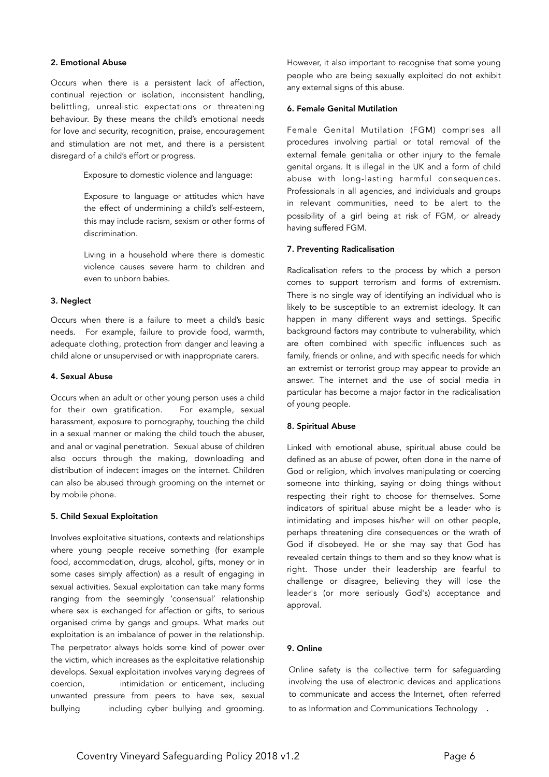#### 2. Emotional Abuse

Occurs when there is a persistent lack of affection, continual rejection or isolation, inconsistent handling, belittling, unrealistic expectations or threatening behaviour. By these means the child's emotional needs for love and security, recognition, praise, encouragement and stimulation are not met, and there is a persistent disregard of a child's effort or progress.

Exposure to domestic violence and language:

Exposure to language or attitudes which have the effect of undermining a child's self-esteem, this may include racism, sexism or other forms of discrimination.

Living in a household where there is domestic violence causes severe harm to children and even to unborn babies.

#### 3. Neglect

Occurs when there is a failure to meet a child's basic needs. For example, failure to provide food, warmth, adequate clothing, protection from danger and leaving a child alone or unsupervised or with inappropriate carers.

#### 4. Sexual Abuse

Occurs when an adult or other young person uses a child for their own gratification. For example, sexual harassment, exposure to pornography, touching the child in a sexual manner or making the child touch the abuser, and anal or vaginal penetration. Sexual abuse of children also occurs through the making, downloading and distribution of indecent images on the internet. Children can also be abused through grooming on the internet or by mobile phone.

#### 5. Child Sexual Exploitation

Involves exploitative situations, contexts and relationships where young people receive something (for example food, accommodation, drugs, alcohol, gifts, money or in some cases simply affection) as a result of engaging in sexual activities. Sexual exploitation can take many forms ranging from the seemingly 'consensual' relationship where sex is exchanged for affection or gifts, to serious organised crime by gangs and groups. What marks out exploitation is an imbalance of power in the relationship. The perpetrator always holds some kind of power over the victim, which increases as the exploitative relationship develops. Sexual exploitation involves varying degrees of coercion, intimidation or enticement, including unwanted pressure from peers to have sex, sexual bullying including cyber bullying and grooming.

However, it also important to recognise that some young people who are being sexually exploited do not exhibit any external signs of this abuse.

#### 6. Female Genital Mutilation

Female Genital Mutilation (FGM) comprises all procedures involving partial or total removal of the external female genitalia or other injury to the female genital organs. It is illegal in the UK and a form of child abuse with long-lasting harmful consequences. Professionals in all agencies, and individuals and groups in relevant communities, need to be alert to the possibility of a girl being at risk of FGM, or already having suffered FGM.

#### 7. Preventing Radicalisation

Radicalisation refers to the process by which a person comes to support terrorism and forms of extremism. There is no single way of identifying an individual who is likely to be susceptible to an extremist ideology. It can happen in many different ways and settings. Specific background factors may contribute to vulnerability, which are often combined with specific influences such as family, friends or online, and with specific needs for which an extremist or terrorist group may appear to provide an answer. The internet and the use of social media in particular has become a major factor in the radicalisation of young people.

#### 8. Spiritual Abuse

Linked with emotional abuse, spiritual abuse could be defined as an abuse of power, often done in the name of God or religion, which involves manipulating or coercing someone into thinking, saying or doing things without respecting their right to choose for themselves. Some indicators of spiritual abuse might be a leader who is intimidating and imposes his/her will on other people, perhaps threatening dire consequences or the wrath of God if disobeyed. He or she may say that God has revealed certain things to them and so they know what is right. Those under their leadership are fearful to challenge or disagree, believing they will lose the leader's (or more seriously God's) acceptance and approval.

#### 9. Online

 Online safety is the collective term for safeguarding involving the use of electronic devices and applications to communicate and access the Internet, often referred to as Information and Communications Technology .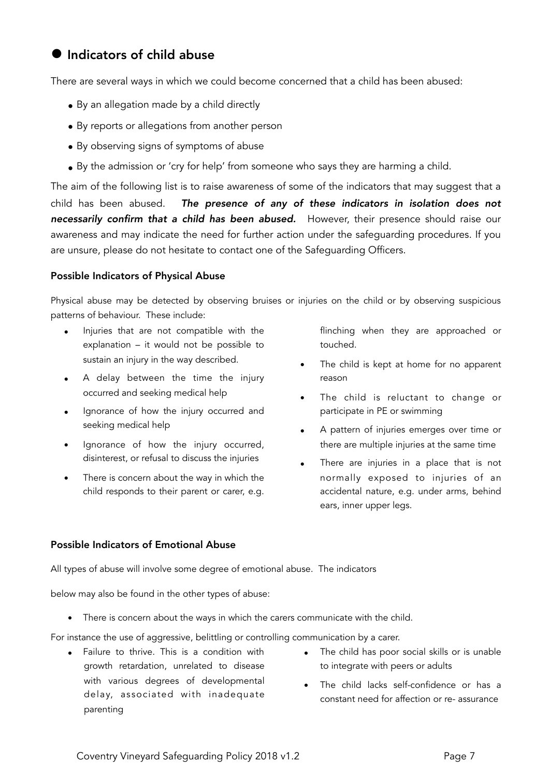# $\bullet$  Indicators of child abuse

There are several ways in which we could become concerned that a child has been abused:

- By an allegation made by a child directly
- By reports or allegations from another person
- By observing signs of symptoms of abuse
- By the admission or 'cry for help' from someone who says they are harming a child.

The aim of the following list is to raise awareness of some of the indicators that may suggest that a child has been abused. *The presence of any of these indicators in isolation does not necessarily confirm that a child has been abused.* However, their presence should raise our awareness and may indicate the need for further action under the safeguarding procedures. If you are unsure, please do not hesitate to contact one of the Safeguarding Officers.

#### Possible Indicators of Physical Abuse

Physical abuse may be detected by observing bruises or injuries on the child or by observing suspicious patterns of behaviour. These include:

- Injuries that are not compatible with the explanation – it would not be possible to sustain an injury in the way described.
- A delay between the time the injury occurred and seeking medical help
- Ignorance of how the injury occurred and seeking medical help
- Ignorance of how the injury occurred, disinterest, or refusal to discuss the injuries
- There is concern about the way in which the child responds to their parent or carer, e.g.

flinching when they are approached or touched.

- The child is kept at home for no apparent reason
- The child is reluctant to change or participate in PE or swimming
- A pattern of injuries emerges over time or there are multiple injuries at the same time
- There are injuries in a place that is not normally exposed to injuries of an accidental nature, e.g. under arms, behind ears, inner upper legs.

#### Possible Indicators of Emotional Abuse

All types of abuse will involve some degree of emotional abuse. The indicators

below may also be found in the other types of abuse:

• There is concern about the ways in which the carers communicate with the child.

For instance the use of aggressive, belittling or controlling communication by a carer.

- Failure to thrive. This is a condition with growth retardation, unrelated to disease with various degrees of developmental delay, associated with inadequate parenting
- The child has poor social skills or is unable to integrate with peers or adults
- The child lacks self-confidence or has a constant need for affection or re- assurance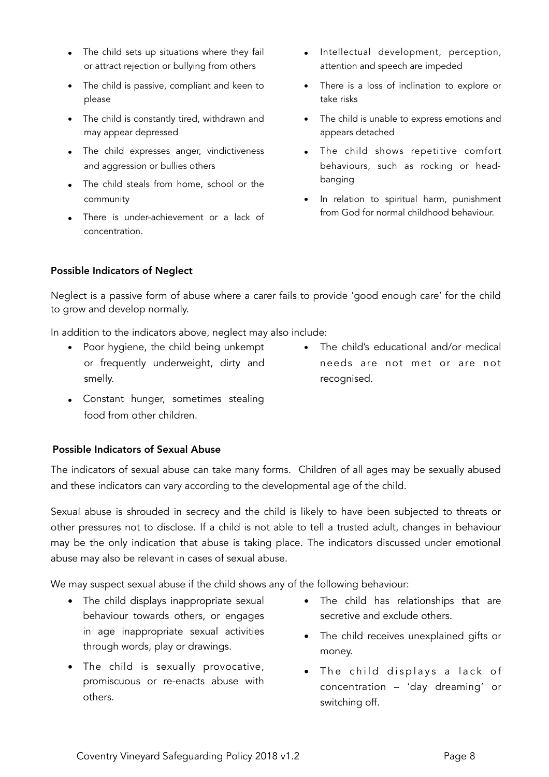- The child sets up situations where they fail or attract rejection or bullying from others
- The child is passive, compliant and keen to please
- The child is constantly tired, withdrawn and may appear depressed
- The child expresses anger, vindictiveness and aggression or bullies others
- The child steals from home, school or the community
- There is under-achievement or a lack of concentration.
- Intellectual development, perception, attention and speech are impeded
- There is a loss of inclination to explore or take risks
- The child is unable to express emotions and appears detached
- The child shows repetitive comfort behaviours, such as rocking or headbanging
- In relation to spiritual harm, punishment from God for normal childhood behaviour.

#### Possible Indicators of Neglect

Neglect is a passive form of abuse where a carer fails to provide 'good enough care' for the child to grow and develop normally.

In addition to the indicators above, neglect may also include:

- Poor hygiene, the child being unkempt or frequently underweight, dirty and smelly.
- The child's educational and/or medical needs are not met or are not recognised.
- Constant hunger, sometimes stealing food from other children.

#### Possible Indicators of Sexual Abuse

The indicators of sexual abuse can take many forms. Children of all ages may be sexually abused and these indicators can vary according to the developmental age of the child.

Sexual abuse is shrouded in secrecy and the child is likely to have been subjected to threats or other pressures not to disclose. If a child is not able to tell a trusted adult, changes in behaviour may be the only indication that abuse is taking place. The indicators discussed under emotional abuse may also be relevant in cases of sexual abuse.

We may suspect sexual abuse if the child shows any of the following behaviour:

- The child displays inappropriate sexual behaviour towards others, or engages in age inappropriate sexual activities through words, play or drawings.
- The child is sexually provocative, promiscuous or re-enacts abuse with others.
- The child has relationships that are secretive and exclude others.
- The child receives unexplained gifts or money.
- The child displays a lack of concentration – 'day dreaming' or switching off.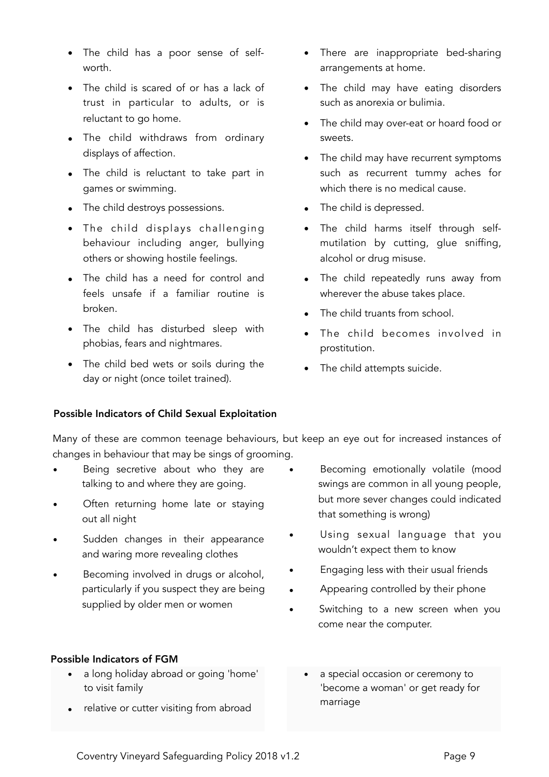- The child has a poor sense of selfworth.
- The child is scared of or has a lack of trust in particular to adults, or is reluctant to go home.
- The child withdraws from ordinary displays of affection.
- The child is reluctant to take part in games or swimming.
- The child destroys possessions.
- The child displays challenging behaviour including anger, bullying others or showing hostile feelings.
- The child has a need for control and feels unsafe if a familiar routine is broken.
- The child has disturbed sleep with phobias, fears and nightmares.
- The child bed wets or soils during the day or night (once toilet trained).
- There are inappropriate bed-sharing arrangements at home.
- The child may have eating disorders such as anorexia or bulimia.
- The child may over-eat or hoard food or sweets.
- The child may have recurrent symptoms such as recurrent tummy aches for which there is no medical cause.
- The child is depressed.
- The child harms itself through selfmutilation by cutting, glue sniffing, alcohol or drug misuse.
- The child repeatedly runs away from wherever the abuse takes place.
- The child truants from school.
- The child becomes involved in prostitution.
- The child attempts suicide.

#### Possible Indicators of Child Sexual Exploitation

 Many of these are common teenage behaviours, but keep an eye out for increased instances of changes in behaviour that may be sings of grooming.

- Being secretive about who they are talking to and where they are going.
- Often returning home late or staying out all night
- Sudden changes in their appearance and waring more revealing clothes
- Becoming involved in drugs or alcohol, particularly if you suspect they are being supplied by older men or women

#### Possible Indicators of FGM

- a long holiday abroad or going 'home' to visit family
- relative or cutter visiting from abroad
- Becoming emotionally volatile (mood swings are common in all young people, but more sever changes could indicated that something is wrong)
- Using sexual language that you wouldn't expect them to know
- Engaging less with their usual friends
- Appearing controlled by their phone
- Switching to a new screen when you come near the computer.
	- a special occasion or ceremony to 'become a woman' or get ready for marriage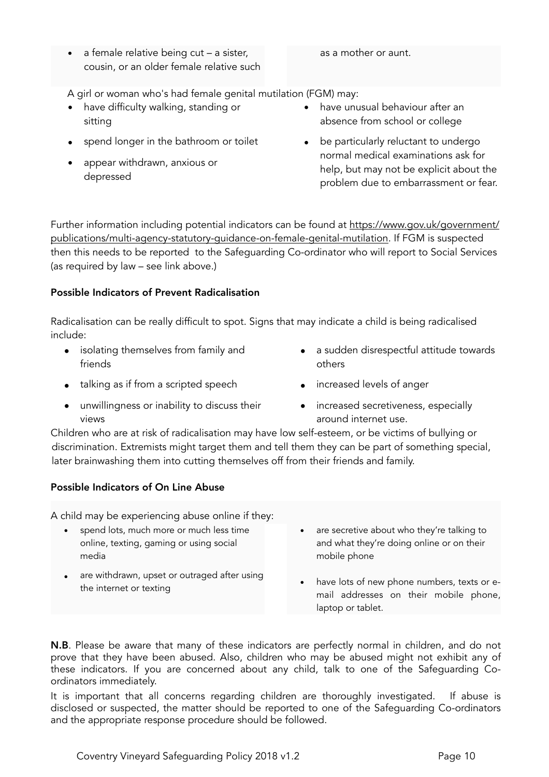• a female relative being cut – a sister, cousin, or an older female relative such

#### as a mother or aunt.

A girl or woman who's had female genital mutilation (FGM) may:

- have difficulty walking, standing or sitting
- spend longer in the bathroom or toilet
- appear withdrawn, anxious or depressed
- have unusual behaviour after an absence from school or college
- be particularly reluctant to undergo normal medical examinations ask for help, but may not be explicit about the problem due to embarrassment or fear.

Further information including potential indicators can be found at [https://www.gov.uk/government/](https://www.gov.uk/government/publications/multi-agency-statutory-guidance-on-female-genital-mutilation) [publications/multi-agency-statutory-guidance-on-female-genital-mutilation.](https://www.gov.uk/government/publications/multi-agency-statutory-guidance-on-female-genital-mutilation) If FGM is suspected then this needs to be reported to the Safeguarding Co-ordinator who will report to Social Services (as required by law – see link above.)

#### Possible Indicators of Prevent Radicalisation

Radicalisation can be really difficult to spot. Signs that may indicate a child is being radicalised include:

- isolating themselves from family and friends
- talking as if from a scripted speech
- unwillingness or inability to discuss their views
- a sudden disrespectful attitude towards others
- increased levels of anger
- increased secretiveness, especially around internet use.

Children who are at risk of radicalisation may have low self-esteem, or be victims of bullying or discrimination. Extremists might target them and tell them they can be part of something special, later brainwashing them into cutting themselves off from their friends and family.

#### Possible Indicators of On Line Abuse

A child may be experiencing abuse online if they:

- spend lots, much more or much less time online, texting, gaming or using social media
- are withdrawn, upset or outraged after using the internet or texting
- are secretive about who they're talking to and what they're doing online or on their mobile phone
- have lots of new phone numbers, texts or email addresses on their mobile phone, laptop or tablet.

N.B. Please be aware that many of these indicators are perfectly normal in children, and do not prove that they have been abused. Also, children who may be abused might not exhibit any of these indicators. If you are concerned about any child, talk to one of the Safeguarding Coordinators immediately.

It is important that all concerns regarding children are thoroughly investigated. If abuse is disclosed or suspected, the matter should be reported to one of the Safeguarding Co-ordinators and the appropriate response procedure should be followed.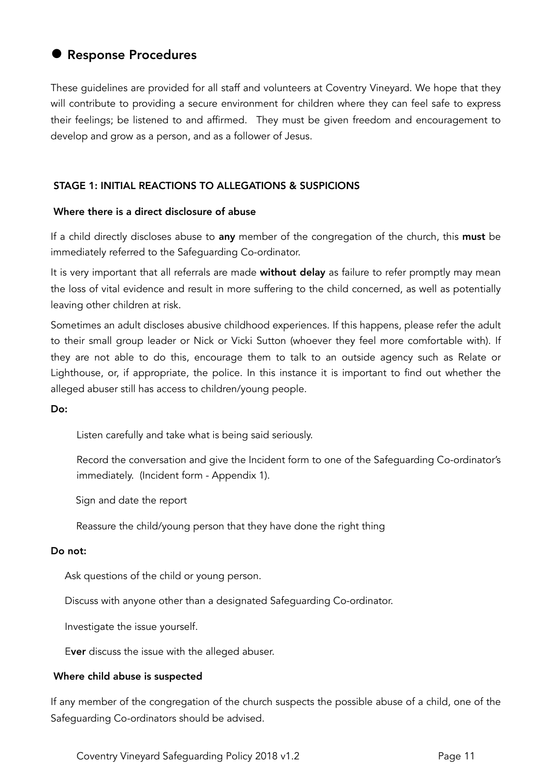# • Response Procedures

These guidelines are provided for all staff and volunteers at Coventry Vineyard. We hope that they will contribute to providing a secure environment for children where they can feel safe to express their feelings; be listened to and affirmed. They must be given freedom and encouragement to develop and grow as a person, and as a follower of Jesus.

#### STAGE 1: INITIAL REACTIONS TO ALLEGATIONS & SUSPICIONS

#### Where there is a direct disclosure of abuse

If a child directly discloses abuse to any member of the congregation of the church, this must be immediately referred to the Safeguarding Co-ordinator.

It is very important that all referrals are made without delay as failure to refer promptly may mean the loss of vital evidence and result in more suffering to the child concerned, as well as potentially leaving other children at risk.

Sometimes an adult discloses abusive childhood experiences. If this happens, please refer the adult to their small group leader or Nick or Vicki Sutton (whoever they feel more comfortable with). If they are not able to do this, encourage them to talk to an outside agency such as Relate or Lighthouse, or, if appropriate, the police. In this instance it is important to find out whether the alleged abuser still has access to children/young people.

#### Do:

Listen carefully and take what is being said seriously.

 Record the conversation and give the Incident form to one of the Safeguarding Co-ordinator's immediately. (Incident form - Appendix 1).

Sign and date the report

Reassure the child/young person that they have done the right thing

#### Do not:

Ask questions of the child or young person.

Discuss with anyone other than a designated Safeguarding Co-ordinator.

Investigate the issue yourself.

Ever discuss the issue with the alleged abuser.

#### Where child abuse is suspected

If any member of the congregation of the church suspects the possible abuse of a child, one of the Safeguarding Co-ordinators should be advised.

Coventry Vineyard Safeguarding Policy 2018 v1.2 **Page 11** Page 11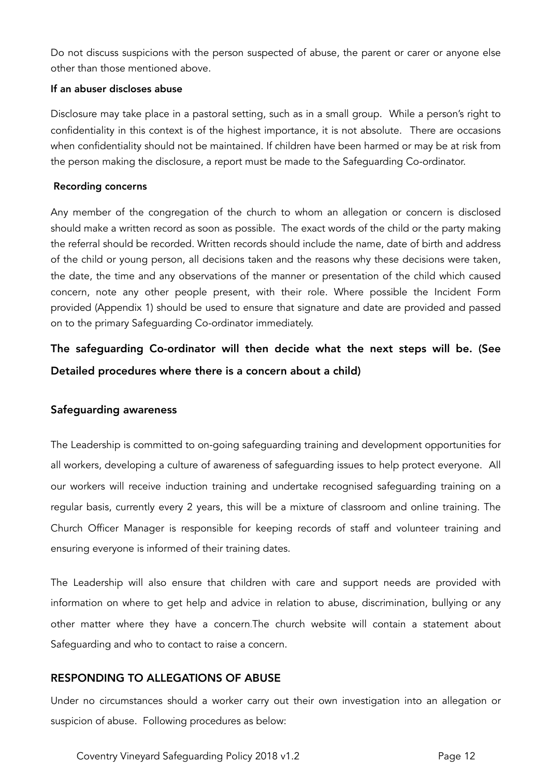Do not discuss suspicions with the person suspected of abuse, the parent or carer or anyone else other than those mentioned above.

#### If an abuser discloses abuse

Disclosure may take place in a pastoral setting, such as in a small group. While a person's right to confidentiality in this context is of the highest importance, it is not absolute. There are occasions when confidentiality should not be maintained. If children have been harmed or may be at risk from the person making the disclosure, a report must be made to the Safeguarding Co-ordinator.

#### Recording concerns

Any member of the congregation of the church to whom an allegation or concern is disclosed should make a written record as soon as possible. The exact words of the child or the party making the referral should be recorded. Written records should include the name, date of birth and address of the child or young person, all decisions taken and the reasons why these decisions were taken, the date, the time and any observations of the manner or presentation of the child which caused concern, note any other people present, with their role. Where possible the Incident Form provided (Appendix 1) should be used to ensure that signature and date are provided and passed on to the primary Safeguarding Co-ordinator immediately.

The safeguarding Co-ordinator will then decide what the next steps will be. (See Detailed procedures where there is a concern about a child)

#### Safeguarding awareness

The Leadership is committed to on-going safeguarding training and development opportunities for all workers, developing a culture of awareness of safeguarding issues to help protect everyone. All our workers will receive induction training and undertake recognised safeguarding training on a regular basis, currently every 2 years, this will be a mixture of classroom and online training. The Church Officer Manager is responsible for keeping records of staff and volunteer training and ensuring everyone is informed of their training dates.

The Leadership will also ensure that children with care and support needs are provided with information on where to get help and advice in relation to abuse, discrimination, bullying or any other matter where they have a concern.The church website will contain a statement about Safeguarding and who to contact to raise a concern.

#### RESPONDING TO ALLEGATIONS OF ABUSE

Under no circumstances should a worker carry out their own investigation into an allegation or suspicion of abuse. Following procedures as below:

Coventry Vineyard Safeguarding Policy 2018 v1.2 **Page 12** Page 12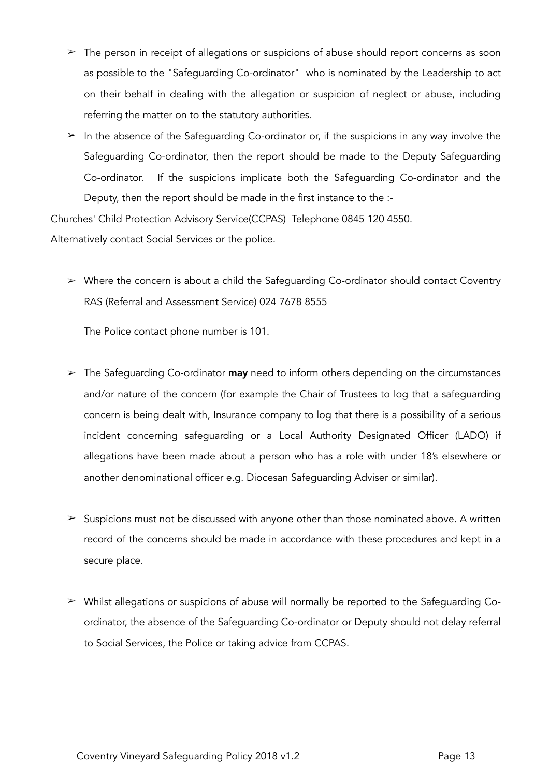- $\geq$  The person in receipt of allegations or suspicions of abuse should report concerns as soon as possible to the "Safeguarding Co-ordinator" who is nominated by the Leadership to act on their behalf in dealing with the allegation or suspicion of neglect or abuse, including referring the matter on to the statutory authorities.
- $\geq$  In the absence of the Safeguarding Co-ordinator or, if the suspicions in any way involve the Safeguarding Co-ordinator, then the report should be made to the Deputy Safeguarding Co-ordinator. If the suspicions implicate both the Safeguarding Co-ordinator and the Deputy, then the report should be made in the first instance to the :-

Churches' Child Protection Advisory Service(CCPAS) Telephone 0845 120 4550.

Alternatively contact Social Services or the police.

➢ Where the concern is about a child the Safeguarding Co-ordinator should contact Coventry RAS (Referral and Assessment Service) 024 7678 8555

The Police contact phone number is 101.

- $\geq$  The Safeguarding Co-ordinator **may** need to inform others depending on the circumstances and/or nature of the concern (for example the Chair of Trustees to log that a safeguarding concern is being dealt with, Insurance company to log that there is a possibility of a serious incident concerning safeguarding or a Local Authority Designated Officer (LADO) if allegations have been made about a person who has a role with under 18's elsewhere or another denominational officer e.g. Diocesan Safeguarding Adviser or similar).
- $\geq$  Suspicions must not be discussed with anyone other than those nominated above. A written record of the concerns should be made in accordance with these procedures and kept in a secure place.
- ➢ Whilst allegations or suspicions of abuse will normally be reported to the Safeguarding Coordinator, the absence of the Safeguarding Co-ordinator or Deputy should not delay referral to Social Services, the Police or taking advice from CCPAS.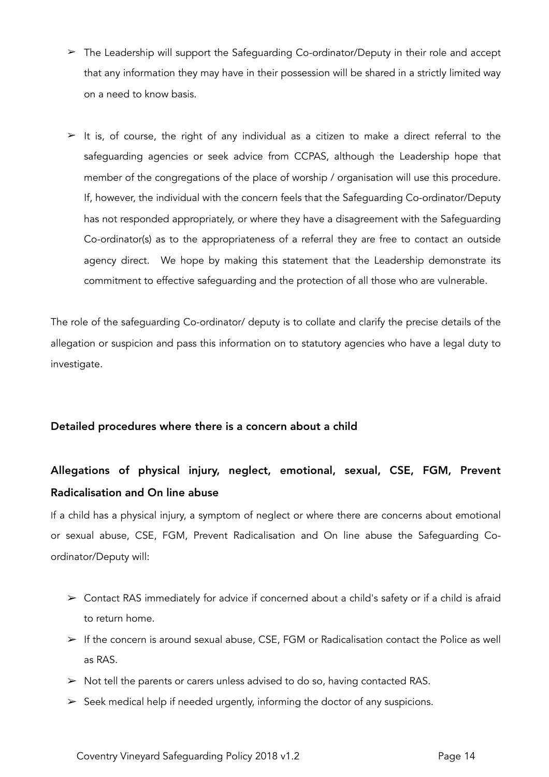- $\geq$  The Leadership will support the Safequarding Co-ordinator/Deputy in their role and accept that any information they may have in their possession will be shared in a strictly limited way on a need to know basis.
- $\geq$  It is, of course, the right of any individual as a citizen to make a direct referral to the safeguarding agencies or seek advice from CCPAS, although the Leadership hope that member of the congregations of the place of worship / organisation will use this procedure. If, however, the individual with the concern feels that the Safeguarding Co-ordinator/Deputy has not responded appropriately, or where they have a disagreement with the Safeguarding Co-ordinator(s) as to the appropriateness of a referral they are free to contact an outside agency direct. We hope by making this statement that the Leadership demonstrate its commitment to effective safeguarding and the protection of all those who are vulnerable.

The role of the safeguarding Co-ordinator/ deputy is to collate and clarify the precise details of the allegation or suspicion and pass this information on to statutory agencies who have a legal duty to investigate.

#### Detailed procedures where there is a concern about a child

# Allegations of physical injury, neglect, emotional, sexual, CSE, FGM, Prevent Radicalisation and On line abuse

If a child has a physical injury, a symptom of neglect or where there are concerns about emotional or sexual abuse, CSE, FGM, Prevent Radicalisation and On line abuse the Safeguarding Coordinator/Deputy will:

- $\triangleright$  Contact RAS immediately for advice if concerned about a child's safety or if a child is afraid to return home.
- $\triangleright$  If the concern is around sexual abuse, CSE, FGM or Radicalisation contact the Police as well as RAS.
- $\triangleright$  Not tell the parents or carers unless advised to do so, having contacted RAS.
- $\triangleright$  Seek medical help if needed urgently, informing the doctor of any suspicions.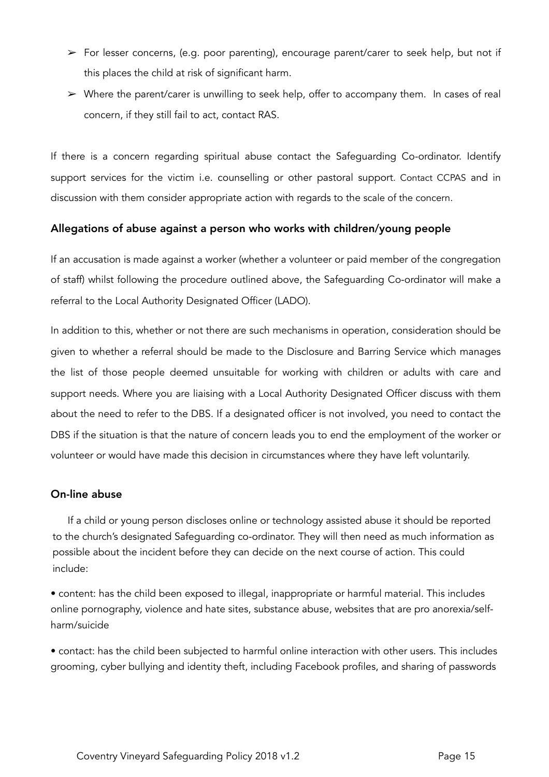- $\triangleright$  For lesser concerns, (e.g. poor parenting), encourage parent/carer to seek help, but not if this places the child at risk of significant harm.
- ➢ Where the parent/carer is unwilling to seek help, offer to accompany them. In cases of real concern, if they still fail to act, contact RAS.

If there is a concern regarding spiritual abuse contact the Safeguarding Co-ordinator. Identify support services for the victim i.e. counselling or other pastoral support. Contact CCPAS and in discussion with them consider appropriate action with regards to the scale of the concern.

#### Allegations of abuse against a person who works with children/young people

If an accusation is made against a worker (whether a volunteer or paid member of the congregation of staff) whilst following the procedure outlined above, the Safeguarding Co-ordinator will make a referral to the Local Authority Designated Officer (LADO).

In addition to this, whether or not there are such mechanisms in operation, consideration should be given to whether a referral should be made to the Disclosure and Barring Service which manages the list of those people deemed unsuitable for working with children or adults with care and support needs. Where you are liaising with a Local Authority Designated Officer discuss with them about the need to refer to the DBS. If a designated officer is not involved, you need to contact the DBS if the situation is that the nature of concern leads you to end the employment of the worker or volunteer or would have made this decision in circumstances where they have left voluntarily.

#### On-line abuse

 If a child or young person discloses online or technology assisted abuse it should be reported to the church's designated Safeguarding co-ordinator. They will then need as much information as possible about the incident before they can decide on the next course of action. This could include:

• content: has the child been exposed to illegal, inappropriate or harmful material. This includes online pornography, violence and hate sites, substance abuse, websites that are pro anorexia/selfharm/suicide

• contact: has the child been subjected to harmful online interaction with other users. This includes grooming, cyber bullying and identity theft, including Facebook profiles, and sharing of passwords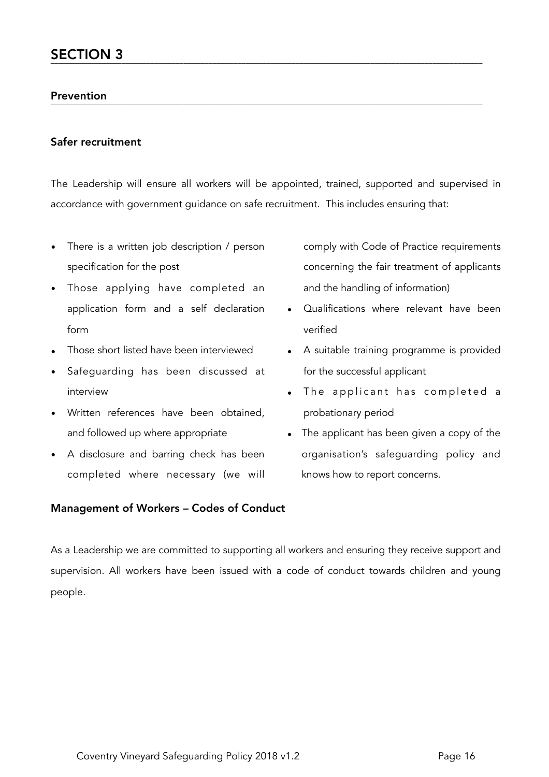# Prevention \_\_\_\_\_\_\_\_\_\_\_\_\_\_\_\_\_\_\_\_\_\_\_\_\_\_\_\_\_\_\_\_\_\_\_\_\_\_\_\_\_\_\_\_\_\_\_\_\_\_\_\_\_\_\_\_\_\_\_\_\_\_\_\_\_\_\_\_\_\_\_\_\_\_\_\_\_\_\_\_\_\_\_\_\_\_\_\_\_\_\_\_\_\_\_\_\_\_\_\_\_\_\_\_

#### Safer recruitment

The Leadership will ensure all workers will be appointed, trained, supported and supervised in accordance with government guidance on safe recruitment. This includes ensuring that:

- There is a written job description / person specification for the post
- Those applying have completed an application form and a self declaration form
- Those short listed have been interviewed
- Safeguarding has been discussed at interview
- Written references have been obtained, and followed up where appropriate
- A disclosure and barring check has been completed where necessary (we will

#### Management of Workers – Codes of Conduct

- comply with Code of Practice requirements concerning the fair treatment of applicants and the handling of information)
- Qualifications where relevant have been verified
- A suitable training programme is provided for the successful applicant
- The applicant has completed a probationary period
- The applicant has been given a copy of the organisation's safeguarding policy and knows how to report concerns.

As a Leadership we are committed to supporting all workers and ensuring they receive support and supervision. All workers have been issued with a code of conduct towards children and young people.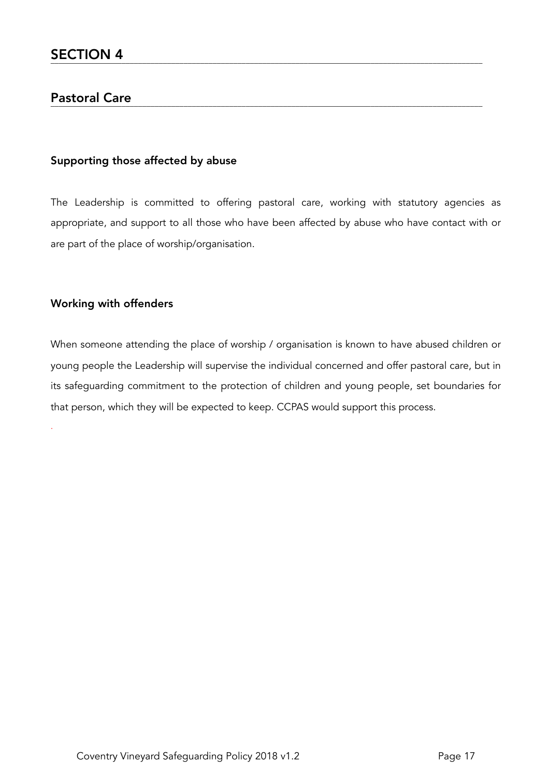#### Pastoral Care \_\_\_\_\_\_\_\_\_\_\_\_\_\_\_\_\_\_\_\_\_\_\_\_\_\_\_\_\_\_\_\_\_\_\_\_\_\_\_\_\_\_\_\_\_\_\_\_\_\_\_\_\_\_\_\_\_\_\_\_\_\_\_\_\_\_\_\_\_\_\_\_\_\_\_\_\_\_\_\_\_\_\_\_\_\_\_\_\_\_\_\_\_\_\_\_\_\_\_\_\_\_\_\_

#### Supporting those affected by abuse

The Leadership is committed to offering pastoral care, working with statutory agencies as appropriate, and support to all those who have been affected by abuse who have contact with or are part of the place of worship/organisation.

#### Working with offenders

.

When someone attending the place of worship / organisation is known to have abused children or young people the Leadership will supervise the individual concerned and offer pastoral care, but in its safeguarding commitment to the protection of children and young people, set boundaries for that person, which they will be expected to keep. CCPAS would support this process.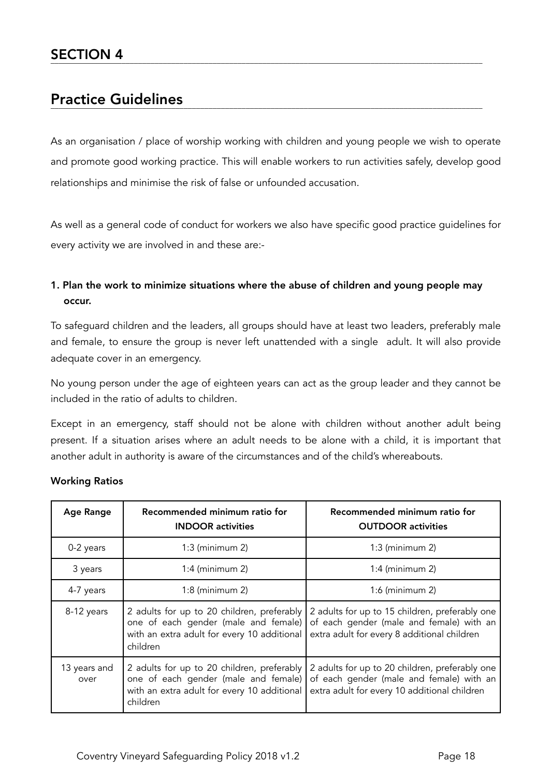#### Practice Guidelines \_\_\_\_\_\_\_\_\_\_\_\_\_\_\_\_\_\_\_\_\_\_\_\_\_\_\_\_\_\_\_\_\_\_\_\_\_\_\_\_\_\_\_\_\_\_\_\_\_\_\_\_\_\_\_\_\_\_\_\_\_\_\_\_\_\_\_\_\_\_\_\_\_\_\_\_\_\_\_\_\_\_\_\_\_\_\_\_\_\_\_\_\_\_\_\_\_\_\_\_\_\_\_\_

As an organisation / place of worship working with children and young people we wish to operate and promote good working practice. This will enable workers to run activities safely, develop good relationships and minimise the risk of false or unfounded accusation.

As well as a general code of conduct for workers we also have specific good practice guidelines for every activity we are involved in and these are:-

## 1. Plan the work to minimize situations where the abuse of children and young people may occur.

To safeguard children and the leaders, all groups should have at least two leaders, preferably male and female, to ensure the group is never left unattended with a single adult. It will also provide adequate cover in an emergency.

No young person under the age of eighteen years can act as the group leader and they cannot be included in the ratio of adults to children.

Except in an emergency, staff should not be alone with children without another adult being present. If a situation arises where an adult needs to be alone with a child, it is important that another adult in authority is aware of the circumstances and of the child's whereabouts.

| <b>Age Range</b>     | Recommended minimum ratio for<br><b>INDOOR</b> activities                                                                                     | Recommended minimum ratio for<br><b>OUTDOOR</b> activities                                                                                 |
|----------------------|-----------------------------------------------------------------------------------------------------------------------------------------------|--------------------------------------------------------------------------------------------------------------------------------------------|
| 0-2 years            | $1:3$ (minimum 2)                                                                                                                             | $1:3$ (minimum 2)                                                                                                                          |
| 3 years              | $1:4$ (minimum 2)                                                                                                                             | $1:4$ (minimum 2)                                                                                                                          |
| 4-7 years            | $1:8$ (minimum 2)                                                                                                                             | $1:6$ (minimum 2)                                                                                                                          |
| 8-12 years           | 2 adults for up to 20 children, preferably<br>one of each gender (male and female)<br>with an extra adult for every 10 additional<br>children | 2 adults for up to 15 children, preferably one<br>of each gender (male and female) with an<br>extra adult for every 8 additional children  |
| 13 years and<br>over | 2 adults for up to 20 children, preferably<br>one of each gender (male and female)<br>with an extra adult for every 10 additional<br>children | 2 adults for up to 20 children, preferably one<br>of each gender (male and female) with an<br>extra adult for every 10 additional children |

#### Working Ratios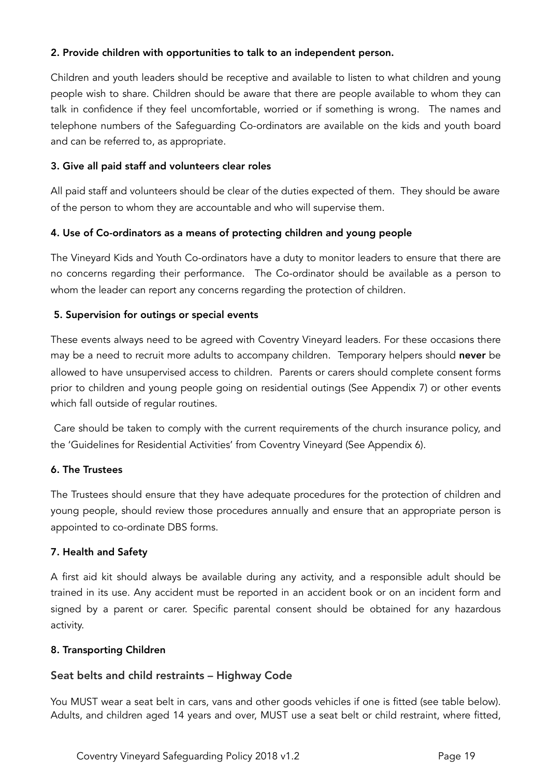#### 2. Provide children with opportunities to talk to an independent person.

Children and youth leaders should be receptive and available to listen to what children and young people wish to share. Children should be aware that there are people available to whom they can talk in confidence if they feel uncomfortable, worried or if something is wrong. The names and telephone numbers of the Safeguarding Co-ordinators are available on the kids and youth board and can be referred to, as appropriate.

#### 3. Give all paid staff and volunteers clear roles

All paid staff and volunteers should be clear of the duties expected of them. They should be aware of the person to whom they are accountable and who will supervise them.

#### 4. Use of Co-ordinators as a means of protecting children and young people

The Vineyard Kids and Youth Co-ordinators have a duty to monitor leaders to ensure that there are no concerns regarding their performance. The Co-ordinator should be available as a person to whom the leader can report any concerns regarding the protection of children.

#### 5. Supervision for outings or special events

These events always need to be agreed with Coventry Vineyard leaders. For these occasions there may be a need to recruit more adults to accompany children. Temporary helpers should never be allowed to have unsupervised access to children. Parents or carers should complete consent forms prior to children and young people going on residential outings (See Appendix 7) or other events which fall outside of regular routines.

 Care should be taken to comply with the current requirements of the church insurance policy, and the 'Guidelines for Residential Activities' from Coventry Vineyard (See Appendix 6).

#### 6. The Trustees

The Trustees should ensure that they have adequate procedures for the protection of children and young people, should review those procedures annually and ensure that an appropriate person is appointed to co-ordinate DBS forms.

#### 7. Health and Safety

A first aid kit should always be available during any activity, and a responsible adult should be trained in its use. Any accident must be reported in an accident book or on an incident form and signed by a parent or carer. Specific parental consent should be obtained for any hazardous activity.

#### 8. Transporting Children

#### Seat belts and child restraints – Highway Code

You MUST wear a seat belt in cars, vans and other goods vehicles if one is fitted (see table below). Adults, and children aged 14 years and over, MUST use a seat belt or child restraint, where fitted,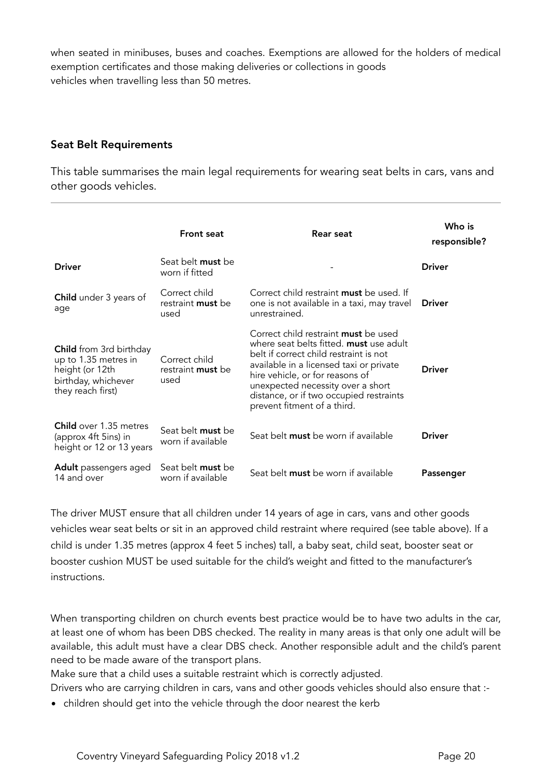when seated in minibuses, buses and coaches. Exemptions are allowed for the holders of medical exemption certificates and those making deliveries or collections in goods vehicles when travelling less than 50 metres.

#### Seat Belt Requirements

This table summarises the main legal requirements for wearing seat belts in cars, vans and other goods vehicles.

|                                                                                                                       | <b>Front seat</b>                                 | Rear seat                                                                                                                                                                                                                                                                                                                     | Who is<br>responsible? |
|-----------------------------------------------------------------------------------------------------------------------|---------------------------------------------------|-------------------------------------------------------------------------------------------------------------------------------------------------------------------------------------------------------------------------------------------------------------------------------------------------------------------------------|------------------------|
| <b>Driver</b>                                                                                                         | Seat belt <b>must</b> be<br>worn if fitted        |                                                                                                                                                                                                                                                                                                                               | <b>Driver</b>          |
| Child under 3 years of<br>age                                                                                         | Correct child<br>restraint must be<br>used        | Correct child restraint <b>must</b> be used. If<br>one is not available in a taxi, may travel<br>unrestrained.                                                                                                                                                                                                                | <b>Driver</b>          |
| <b>Child</b> from 3rd birthday<br>up to 1.35 metres in<br>height (or 12th<br>birthday, whichever<br>they reach first) | Correct child<br>restraint <b>must</b> be<br>used | Correct child restraint <b>must</b> be used<br>where seat belts fitted. must use adult<br>belt if correct child restraint is not<br>available in a licensed taxi or private<br>hire vehicle, or for reasons of<br>unexpected necessity over a short<br>distance, or if two occupied restraints<br>prevent fitment of a third. | <b>Driver</b>          |
| <b>Child</b> over 1.35 metres<br>(approx 4ft 5ins) in<br>height or 12 or 13 years                                     | Seat belt <b>must</b> be<br>worn if available     | Seat belt must be worn if available                                                                                                                                                                                                                                                                                           | <b>Driver</b>          |
| <b>Adult</b> passengers aged<br>14 and over                                                                           | Seat belt <b>must</b> be<br>worn if available     | Seat belt <b>must</b> be worn if available                                                                                                                                                                                                                                                                                    | Passenger              |

The driver MUST ensure that all children under 14 years of age in cars, vans and other goods vehicles wear seat belts or sit in an approved child restraint where required (see table above). If a child is under 1.35 metres (approx 4 feet 5 inches) tall, a baby seat, child seat, booster seat or booster cushion MUST be used suitable for the child's weight and fitted to the manufacturer's instructions.

When transporting children on church events best practice would be to have two adults in the car, at least one of whom has been DBS checked. The reality in many areas is that only one adult will be available, this adult must have a clear DBS check. Another responsible adult and the child's parent need to be made aware of the transport plans.

Make sure that a child uses a suitable restraint which is correctly adjusted.

Drivers who are carrying children in cars, vans and other goods vehicles should also ensure that :-

• children should get into the vehicle through the door nearest the kerb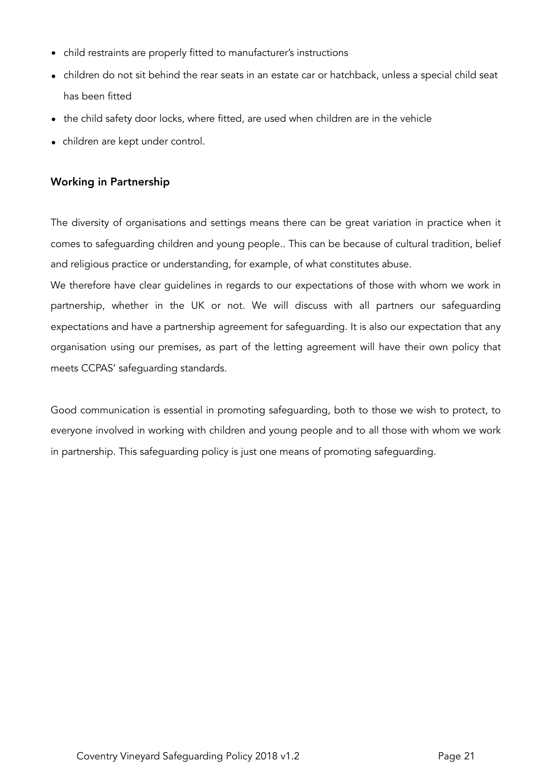- child restraints are properly fitted to manufacturer's instructions
- children do not sit behind the rear seats in an estate car or hatchback, unless a special child seat has been fitted
- the child safety door locks, where fitted, are used when children are in the vehicle
- children are kept under control.

#### Working in Partnership

The diversity of organisations and settings means there can be great variation in practice when it comes to safeguarding children and young people.. This can be because of cultural tradition, belief and religious practice or understanding, for example, of what constitutes abuse.

We therefore have clear guidelines in regards to our expectations of those with whom we work in partnership, whether in the UK or not. We will discuss with all partners our safeguarding expectations and have a partnership agreement for safeguarding. It is also our expectation that any organisation using our premises, as part of the letting agreement will have their own policy that meets CCPAS' safeguarding standards.

Good communication is essential in promoting safeguarding, both to those we wish to protect, to everyone involved in working with children and young people and to all those with whom we work in partnership. This safeguarding policy is just one means of promoting safeguarding.